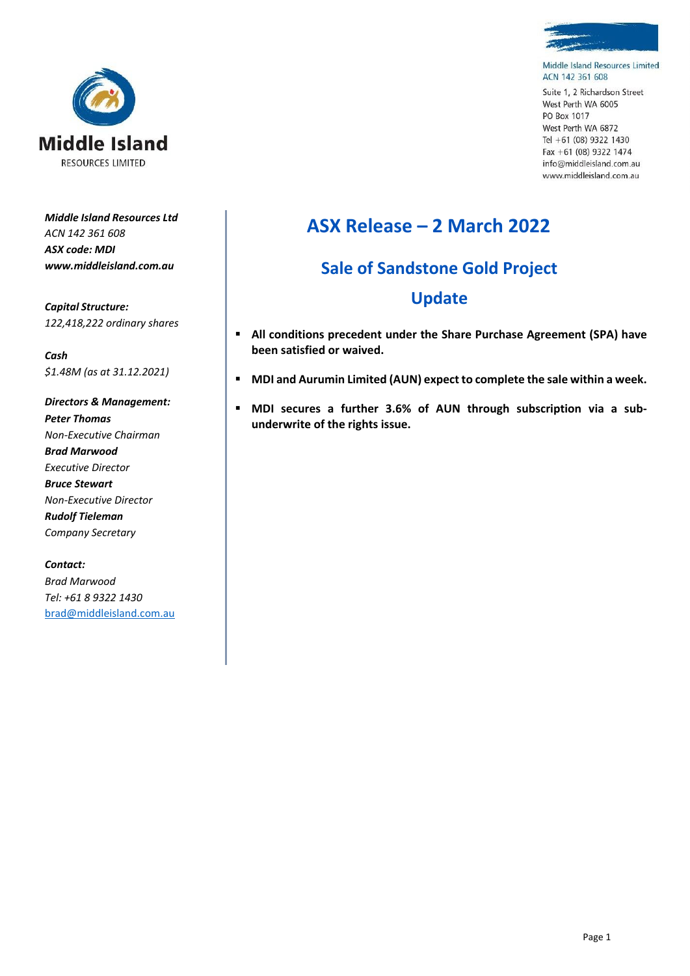



Middle Island Resources Limited ACN 142 361 608

Suite 1, 2 Richardson Street West Perth WA 6005 PO Box 1017 West Perth WA 6872 Tel +61 (08) 9322 1430 Fax +61 (08) 9322 1474 info@middleisland.com.au www.middleisland.com.au

*Middle Island Resources Ltd ACN 142 361 608 ASX code: MDI www.middleisland.com.au*

*Capital Structure: 122,418,222 ordinary shares*

*Cash \$1.48M (as at 31.12.2021)*

*Directors & Management: Peter Thomas Non-Executive Chairman Brad Marwood Executive Director Bruce Stewart Non-Executive Director Rudolf Tieleman Company Secretary*

*Contact: Brad Marwood Tel: +61 8 9322 1430* brad@middleisland.com.au

## **ASX Release – 2 March 2022**

# **Sale of Sandstone Gold Project**

### **Update**

- **All conditions precedent under the Share Purchase Agreement (SPA) have been satisfied or waived.**
- **MDI and Aurumin Limited (AUN) expect to complete the sale within a week.**
- **MDI secures a further 3.6% of AUN through subscription via a subunderwrite of the rights issue.**